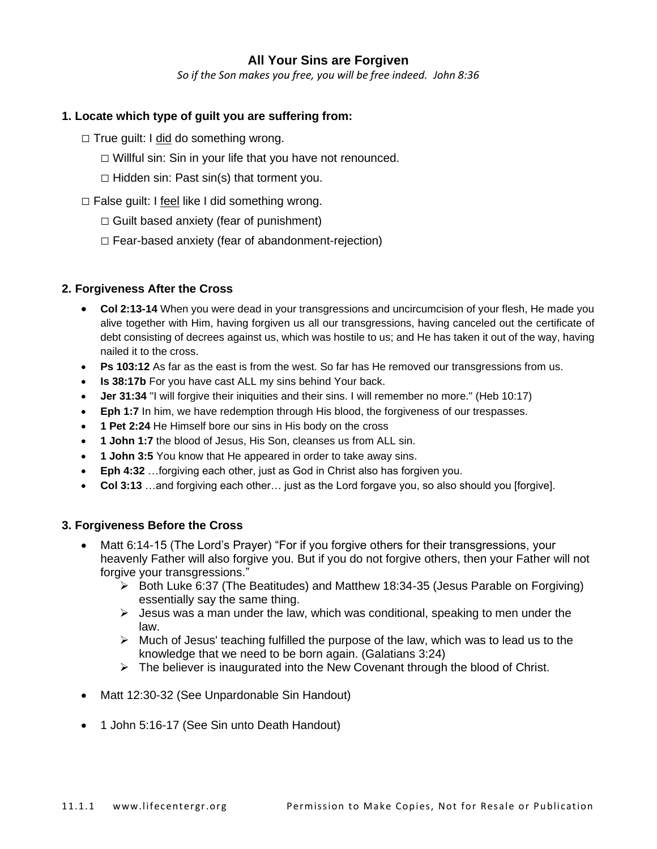# **All Your Sins are Forgiven**

*So if the Son makes you free, you will be free indeed. John 8:36*

### **1. Locate which type of guilt you are suffering from:**

- $\Box$  True guilt: I did do something wrong.
	- $\Box$  Willful sin: Sin in your life that you have not renounced.
	- $\Box$  Hidden sin: Past sin(s) that torment you.
- $\Box$  False guilt: I feel like I did something wrong.
	- $\Box$  Guilt based anxiety (fear of punishment)
	- □ Fear-based anxiety (fear of abandonment-rejection)

### **2. Forgiveness After the Cross**

- **Col 2:13-14** When you were dead in your transgressions and uncircumcision of your flesh, He made you alive together with Him, having forgiven us all our transgressions, having canceled out the certificate of debt consisting of decrees against us, which was hostile to us; and He has taken it out of the way, having nailed it to the cross.
- **Ps 103:12** As far as the east is from the west. So far has He removed our transgressions from us.
- **Is 38:17b** For you have cast ALL my sins behind Your back.
- **Jer 31:34** "I will forgive their iniquities and their sins. I will remember no more." (Heb 10:17)
- **Eph 1:7** In him, we have redemption through His blood, the forgiveness of our trespasses.
- **1 Pet 2:24** He Himself bore our sins in His body on the cross
- **1 John 1:7** the blood of Jesus, His Son, cleanses us from ALL sin.
- **1 John 3:5** You know that He appeared in order to take away sins.
- **Eph 4:32** …forgiving each other, just as God in Christ also has forgiven you.
- **Col 3:13** …and forgiving each other… just as the Lord forgave you, so also should you [forgive].

### **3. Forgiveness Before the Cross**

- Matt 6:14-15 (The Lord's Prayer) "For if you forgive others for their transgressions, your heavenly Father will also forgive you. But if you do not forgive others, then your Father will not forgive your transgressions."
	- ➢ Both Luke 6:37 (The Beatitudes) and Matthew 18:34-35 (Jesus Parable on Forgiving) essentially say the same thing.
	- $\triangleright$  Jesus was a man under the law, which was conditional, speaking to men under the law.
	- $\triangleright$  Much of Jesus' teaching fulfilled the purpose of the law, which was to lead us to the knowledge that we need to be born again. (Galatians 3:24)
	- $\triangleright$  The believer is inaugurated into the New Covenant through the blood of Christ.
- Matt 12:30-32 (See Unpardonable Sin Handout)
- 1 John 5:16-17 (See Sin unto Death Handout)